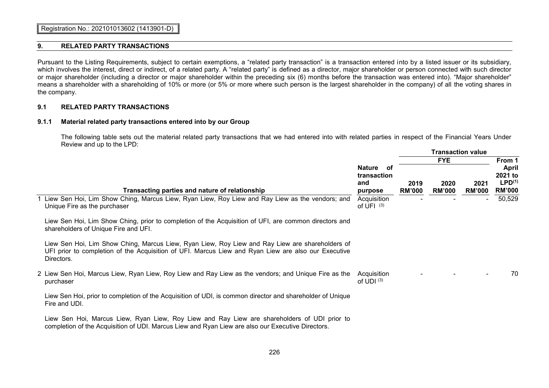### **9. RELATED PARTY TRANSACTIONS**

Pursuant to the Listing Requirements, subject to certain exemptions, a "related party transaction" is a transaction entered into by a listed issuer or its subsidiary, which involves the interest, direct or indirect, of a related party. A "related party" is defined as a director, major shareholder or person connected with such director or major shareholder (including a director or major shareholder within the preceding six (6) months before the transaction was entered into). "Major shareholder" means a shareholder with a shareholding of 10% or more (or 5% or more where such person is the largest shareholder in the company) of all the voting shares in the company.

### **9.1 RELATED PARTY TRANSACTIONS**

### **9.1.1 Material related party transactions entered into by our Group**

The following table sets out the material related party transactions that we had entered into with related parties in respect of the Financial Years Under Review and up to the LPD:

|                                                                                                                                                                                                                      |                                            | <b>Transaction value</b> |                       |                       |                                                                |  |
|----------------------------------------------------------------------------------------------------------------------------------------------------------------------------------------------------------------------|--------------------------------------------|--------------------------|-----------------------|-----------------------|----------------------------------------------------------------|--|
|                                                                                                                                                                                                                      |                                            | <b>FYE</b>               |                       |                       | From 1                                                         |  |
| Transacting parties and nature of relationship                                                                                                                                                                       | Nature of<br>transaction<br>and<br>purpose | 2019<br><b>RM'000</b>    | 2020<br><b>RM'000</b> | 2021<br><b>RM'000</b> | <b>April</b><br>2021 to<br>LPD <sup>(1)</sup><br><b>RM'000</b> |  |
| Liew Sen Hoi, Lim Show Ching, Marcus Liew, Ryan Liew, Roy Liew and Ray Liew as the vendors; and<br>Unique Fire as the purchaser                                                                                      | Acquisition<br>of UFI $(3)$                |                          |                       |                       | 50,529                                                         |  |
| Liew Sen Hoi, Lim Show Ching, prior to completion of the Acquisition of UFI, are common directors and<br>shareholders of Unique Fire and UFI.                                                                        |                                            |                          |                       |                       |                                                                |  |
| Liew Sen Hoi, Lim Show Ching, Marcus Liew, Ryan Liew, Roy Liew and Ray Liew are shareholders of<br>UFI prior to completion of the Acquisition of UFI. Marcus Liew and Ryan Liew are also our Executive<br>Directors. |                                            |                          |                       |                       |                                                                |  |
| 2 Liew Sen Hoi, Marcus Liew, Ryan Liew, Roy Liew and Ray Liew as the vendors; and Unique Fire as the<br>purchaser                                                                                                    | Acquisition<br>of UDI $(3)$                |                          |                       |                       | 70                                                             |  |
| Liew Sen Hoi, prior to completion of the Acquisition of UDI, is common director and shareholder of Unique<br>Fire and UDI.                                                                                           |                                            |                          |                       |                       |                                                                |  |
| Liew Sen Hoi, Marcus Liew, Ryan Liew, Roy Liew and Ray Liew are shareholders of UDI prior to<br>completion of the Acquisition of UDI. Marcus Liew and Ryan Liew are also our Executive Directors.                    |                                            |                          |                       |                       |                                                                |  |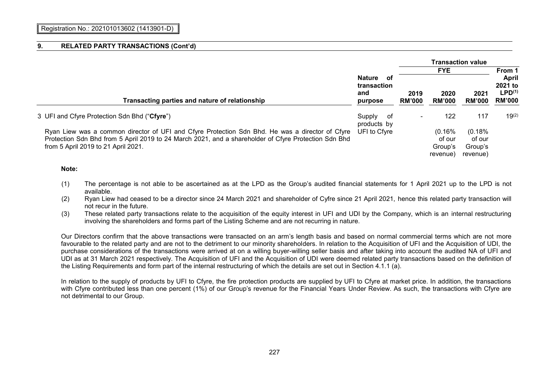|                                                                                                                                                                                                                                                |                                                      | <b>Transaction value</b> |                                         |                                         |                                                                          |  |  |
|------------------------------------------------------------------------------------------------------------------------------------------------------------------------------------------------------------------------------------------------|------------------------------------------------------|--------------------------|-----------------------------------------|-----------------------------------------|--------------------------------------------------------------------------|--|--|
|                                                                                                                                                                                                                                                |                                                      |                          | <b>FYE</b>                              |                                         | From 1<br><b>April</b><br>2021 to<br>LPD <sup>(1)</sup><br><b>RM'000</b> |  |  |
| Transacting parties and nature of relationship                                                                                                                                                                                                 | <b>Nature</b><br>of<br>transaction<br>and<br>purpose | 2019<br><b>RM'000</b>    | 2020<br><b>RM'000</b>                   | 2021<br><b>RM'000</b>                   |                                                                          |  |  |
|                                                                                                                                                                                                                                                |                                                      |                          |                                         |                                         |                                                                          |  |  |
| 3 UFI and Cfyre Protection Sdn Bhd ("Cfyre")                                                                                                                                                                                                   | Supply<br>- of<br>products by                        | $\overline{\phantom{0}}$ | 122                                     | 117                                     | $19^{(2)}$                                                               |  |  |
| Ryan Liew was a common director of UFI and Cfyre Protection Sdn Bhd. He was a director of Cfyre<br>Protection Sdn Bhd from 5 April 2019 to 24 March 2021, and a shareholder of Cfyre Protection Sdn Bhd<br>from 5 April 2019 to 21 April 2021. | UFI to Cfyre                                         |                          | (0.16%<br>of our<br>Group's<br>revenue) | (0.18%<br>of our<br>Group's<br>revenue) |                                                                          |  |  |

### **Note:**

- (1) The percentage is not able to be ascertained as at the LPD as the Group's audited financial statements for 1 April 2021 up to the LPD is not available.
- (2) Ryan Liew had ceased to be a director since 24 March 2021 and shareholder of Cyfre since 21 April 2021, hence this related party transaction will not recur in the future.
- (3) These related party transactions relate to the acquisition of the equity interest in UFI and UDI by the Company, which is an internal restructuring involving the shareholders and forms part of the Listing Scheme and are not recurring in nature.

Our Directors confirm that the above transactions were transacted on an arm's length basis and based on normal commercial terms which are not more favourable to the related party and are not to the detriment to our minority shareholders. In relation to the Acquisition of UFI and the Acquisition of UDI, the purchase considerations of the transactions were arrived at on a willing buyer-willing seller basis and after taking into account the audited NA of UFI and UDI as at 31 March 2021 respectively. The Acquisition of UFI and the Acquisition of UDI were deemed related party transactions based on the definition of the Listing Requirements and form part of the internal restructuring of which the details are set out in Section 4.1.1 (a).

In relation to the supply of products by UFI to Cfyre, the fire protection products are supplied by UFI to Cfyre at market price. In addition, the transactions with Cfyre contributed less than one percent (1%) of our Group's revenue for the Financial Years Under Review. As such, the transactions with Cfyre are not detrimental to our Group.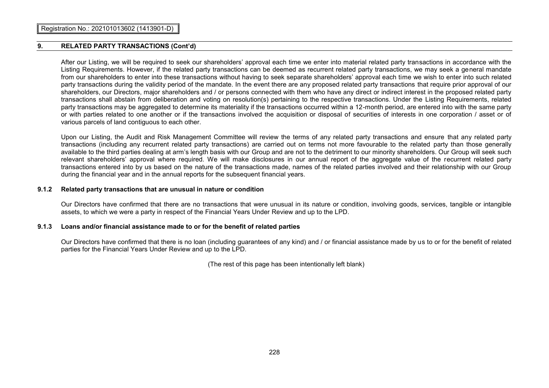After our Listing, we will be required to seek our shareholders' approval each time we enter into material related party transactions in accordance with the Listing Requirements. However, if the related party transactions can be deemed as recurrent related party transactions, we may seek a general mandate from our shareholders to enter into these transactions without having to seek separate shareholders' approval each time we wish to enter into such related party transactions during the validity period of the mandate. In the event there are any proposed related party transactions that require prior approval of our shareholders, our Directors, major shareholders and / or persons connected with them who have any direct or indirect interest in the proposed related party transactions shall abstain from deliberation and voting on resolution(s) pertaining to the respective transactions. Under the Listing Requirements, related party transactions may be aggregated to determine its materiality if the transactions occurred within a 12-month period, are entered into with the same party or with parties related to one another or if the transactions involved the acquisition or disposal of securities of interests in one corporation / asset or of various parcels of land contiguous to each other.

Upon our Listing, the Audit and Risk Management Committee will review the terms of any related party transactions and ensure that any related party transactions (including any recurrent related party transactions) are carried out on terms not more favourable to the related party than those generally available to the third parties dealing at arm's length basis with our Group and are not to the detriment to our minority shareholders. Our Group will seek such relevant shareholders' approval where required. We will make disclosures in our annual report of the aggregate value of the recurrent related party transactions entered into by us based on the nature of the transactions made, names of the related parties involved and their relationship with our Group during the financial year and in the annual reports for the subsequent financial years.

#### **9.1.2 Related party transactions that are unusual in nature or condition**

Our Directors have confirmed that there are no transactions that were unusual in its nature or condition, involving goods, services, tangible or intangible assets, to which we were a party in respect of the Financial Years Under Review and up to the LPD.

### **9.1.3 Loans and/or financial assistance made to or for the benefit of related parties**

Our Directors have confirmed that there is no loan (including guarantees of any kind) and / or financial assistance made by us to or for the benefit of related parties for the Financial Years Under Review and up to the LPD.

(The rest of this page has been intentionally left blank)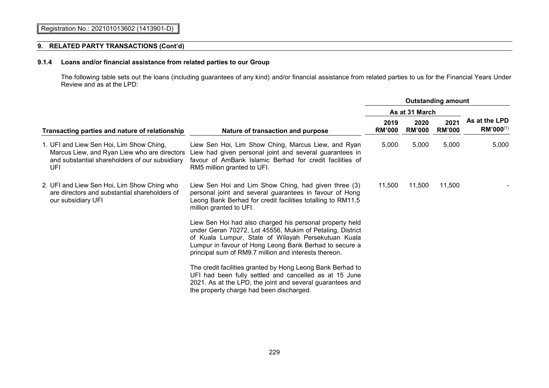# **9.1.4 Loans and/or financial assistance from related parties to our Group**

The following table sets out the loans (including guarantees of any kind) and/or financial assistance from related parties to us for the Financial Years Under Review and as at the LPD:

|                                                                                                                                                   |                                                                                                                                                                                                                                                                                                 |                       | <b>Outstanding amount</b> |                       |                            |  |  |  |
|---------------------------------------------------------------------------------------------------------------------------------------------------|-------------------------------------------------------------------------------------------------------------------------------------------------------------------------------------------------------------------------------------------------------------------------------------------------|-----------------------|---------------------------|-----------------------|----------------------------|--|--|--|
|                                                                                                                                                   |                                                                                                                                                                                                                                                                                                 | As at 31 March        |                           |                       |                            |  |  |  |
| Transacting parties and nature of relationship                                                                                                    | Nature of transaction and purpose                                                                                                                                                                                                                                                               | 2019<br><b>RM'000</b> | 2020<br><b>RM'000</b>     | 2021<br><b>RM'000</b> | As at the LPD<br>RM'000(1) |  |  |  |
| 1. UFI and Liew Sen Hoi, Lim Show Ching,<br>Marcus Liew, and Ryan Liew who are directors<br>and substantial shareholders of our subsidiary<br>UFI | Liew Sen Hoi, Lim Show Ching, Marcus Liew, and Ryan<br>Liew had given personal joint and several guarantees in<br>favour of AmBank Islamic Berhad for credit facilities of<br>RM5 million granted to UFI.                                                                                       | 5,000                 | 5,000                     | 5,000                 | 5,000                      |  |  |  |
| 2. UFI and Liew Sen Hoi, Lim Show Ching who<br>are directors and substantial shareholders of<br>our subsidiary UFI                                | Liew Sen Hoi and Lim Show Ching, had given three (3)<br>personal joint and several guarantees in favour of Hong<br>Leong Bank Berhad for credit facilities totalling to RM11.5<br>million granted to UFI.                                                                                       | 11,500                | 11,500                    | 11,500                |                            |  |  |  |
|                                                                                                                                                   | Liew Sen Hoi had also charged his personal property held<br>under Geran 70272, Lot 45556, Mukim of Petaling, District<br>of Kuala Lumpur, State of Wilayah Persekutuan Kuala<br>Lumpur in favour of Hong Leong Bank Berhad to secure a<br>principal sum of RM9.7 million and interests thereon. |                       |                           |                       |                            |  |  |  |
|                                                                                                                                                   | The credit facilities granted by Hong Leong Bank Berhad to<br>UFI had been fully settled and cancelled as at 15 June<br>2021. As at the LPD, the joint and several guarantees and<br>the property charge had been discharged.                                                                   |                       |                           |                       |                            |  |  |  |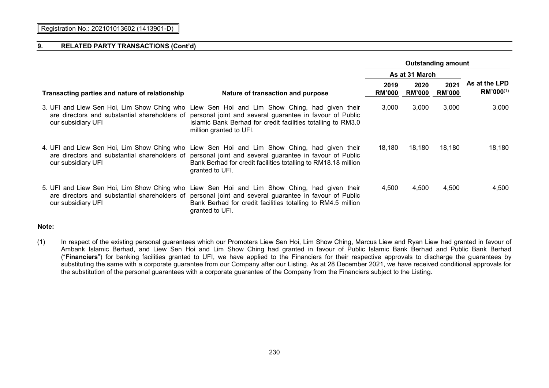|                                                |                                                                                                                                                                                                                                                                                                   | <b>Outstanding amount</b> |                       |                       |                                 |
|------------------------------------------------|---------------------------------------------------------------------------------------------------------------------------------------------------------------------------------------------------------------------------------------------------------------------------------------------------|---------------------------|-----------------------|-----------------------|---------------------------------|
|                                                |                                                                                                                                                                                                                                                                                                   | As at 31 March            |                       |                       |                                 |
| Transacting parties and nature of relationship | Nature of transaction and purpose                                                                                                                                                                                                                                                                 | 2019<br><b>RM'000</b>     | 2020<br><b>RM'000</b> | 2021<br><b>RM'000</b> | As at the LPD<br>$RM'000^{(1)}$ |
| our subsidiary UFI                             | 3. UFI and Liew Sen Hoi, Lim Show Ching who Liew Sen Hoi and Lim Show Ching, had given their<br>are directors and substantial shareholders of personal joint and several guarantee in favour of Public<br>Islamic Bank Berhad for credit facilities totalling to RM3.0<br>million granted to UFI. | 3,000                     | 3,000                 | 3,000                 | 3,000                           |
| our subsidiary UFI                             | 4. UFI and Liew Sen Hoi, Lim Show Ching who Liew Sen Hoi and Lim Show Ching, had given their<br>are directors and substantial shareholders of personal joint and several guarantee in favour of Public<br>Bank Berhad for credit facilities totalling to RM18.18 million<br>granted to UFI.       | 18,180                    | 18.180                | 18,180                | 18,180                          |
| our subsidiary UFI                             | 5. UFI and Liew Sen Hoi, Lim Show Ching who Liew Sen Hoi and Lim Show Ching, had given their<br>are directors and substantial shareholders of personal joint and several guarantee in favour of Public<br>Bank Berhad for credit facilities totalling to RM4.5 million<br>granted to UFI.         | 4,500                     | 4,500                 | 4,500                 | 4,500                           |

### **Note:**

(1) In respect of the existing personal guarantees which our Promoters Liew Sen Hoi, Lim Show Ching, Marcus Liew and Ryan Liew had granted in favour of Ambank Islamic Berhad, and Liew Sen Hoi and Lim Show Ching had granted in favour of Public Islamic Bank Berhad and Public Bank Berhad ("**Financiers**") for banking facilities granted to UFI, we have applied to the Financiers for their respective approvals to discharge the guarantees by substituting the same with a corporate guarantee from our Company after our Listing. As at 28 December 2021, we have received conditional approvals for the substitution of the personal guarantees with a corporate guarantee of the Company from the Financiers subject to the Listing.